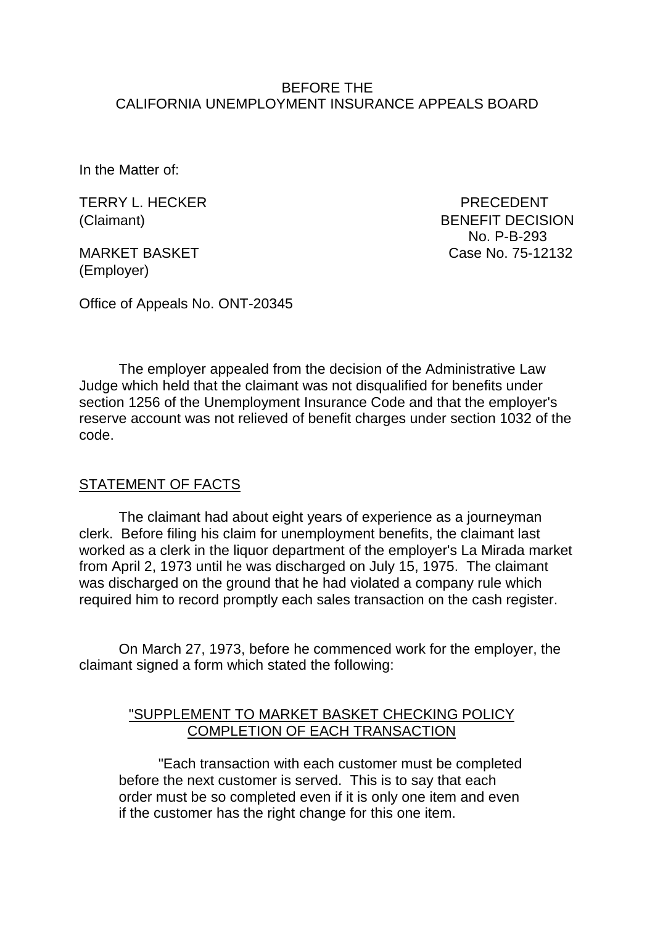## BEFORE THE CALIFORNIA UNEMPLOYMENT INSURANCE APPEALS BOARD

In the Matter of:

TERRY L. HECKER PRECEDENT

(Employer)

(Claimant) BENEFIT DECISION No. P-B-293 MARKET BASKET CASE CASE No. 75-12132

Office of Appeals No. ONT-20345

The employer appealed from the decision of the Administrative Law Judge which held that the claimant was not disqualified for benefits under section 1256 of the Unemployment Insurance Code and that the employer's reserve account was not relieved of benefit charges under section 1032 of the code.

## STATEMENT OF FACTS

The claimant had about eight years of experience as a journeyman clerk. Before filing his claim for unemployment benefits, the claimant last worked as a clerk in the liquor department of the employer's La Mirada market from April 2, 1973 until he was discharged on July 15, 1975. The claimant was discharged on the ground that he had violated a company rule which required him to record promptly each sales transaction on the cash register.

On March 27, 1973, before he commenced work for the employer, the claimant signed a form which stated the following:

## "SUPPLEMENT TO MARKET BASKET CHECKING POLICY COMPLETION OF EACH TRANSACTION

"Each transaction with each customer must be completed before the next customer is served. This is to say that each order must be so completed even if it is only one item and even if the customer has the right change for this one item.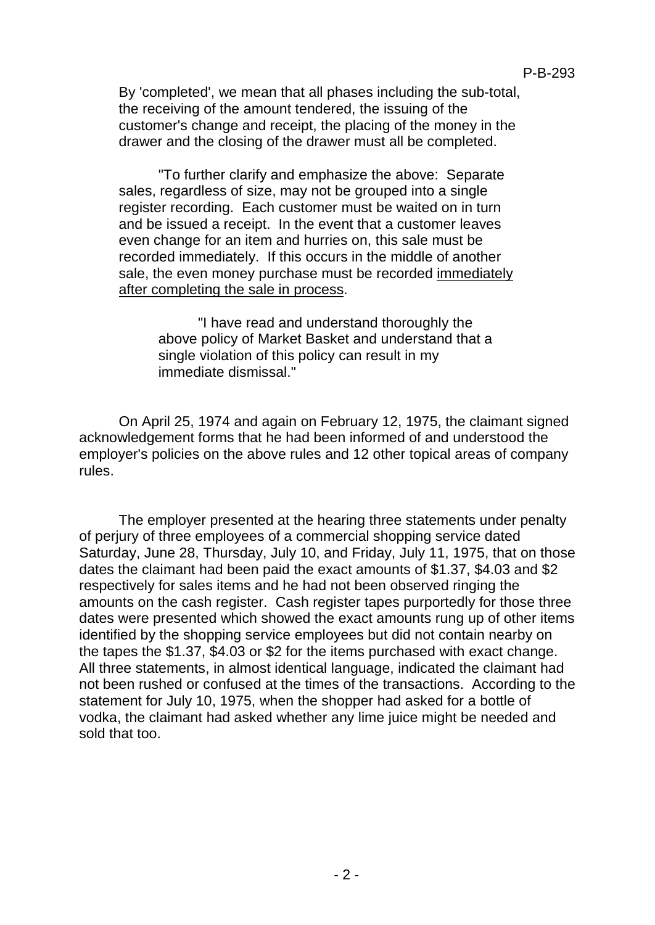By 'completed', we mean that all phases including the sub-total, the receiving of the amount tendered, the issuing of the customer's change and receipt, the placing of the money in the drawer and the closing of the drawer must all be completed.

"To further clarify and emphasize the above: Separate sales, regardless of size, may not be grouped into a single register recording. Each customer must be waited on in turn and be issued a receipt. In the event that a customer leaves even change for an item and hurries on, this sale must be recorded immediately. If this occurs in the middle of another sale, the even money purchase must be recorded immediately after completing the sale in process.

> "I have read and understand thoroughly the above policy of Market Basket and understand that a single violation of this policy can result in my immediate dismissal."

On April 25, 1974 and again on February 12, 1975, the claimant signed acknowledgement forms that he had been informed of and understood the employer's policies on the above rules and 12 other topical areas of company rules.

The employer presented at the hearing three statements under penalty of perjury of three employees of a commercial shopping service dated Saturday, June 28, Thursday, July 10, and Friday, July 11, 1975, that on those dates the claimant had been paid the exact amounts of \$1.37, \$4.03 and \$2 respectively for sales items and he had not been observed ringing the amounts on the cash register. Cash register tapes purportedly for those three dates were presented which showed the exact amounts rung up of other items identified by the shopping service employees but did not contain nearby on the tapes the \$1.37, \$4.03 or \$2 for the items purchased with exact change. All three statements, in almost identical language, indicated the claimant had not been rushed or confused at the times of the transactions. According to the statement for July 10, 1975, when the shopper had asked for a bottle of vodka, the claimant had asked whether any lime juice might be needed and sold that too.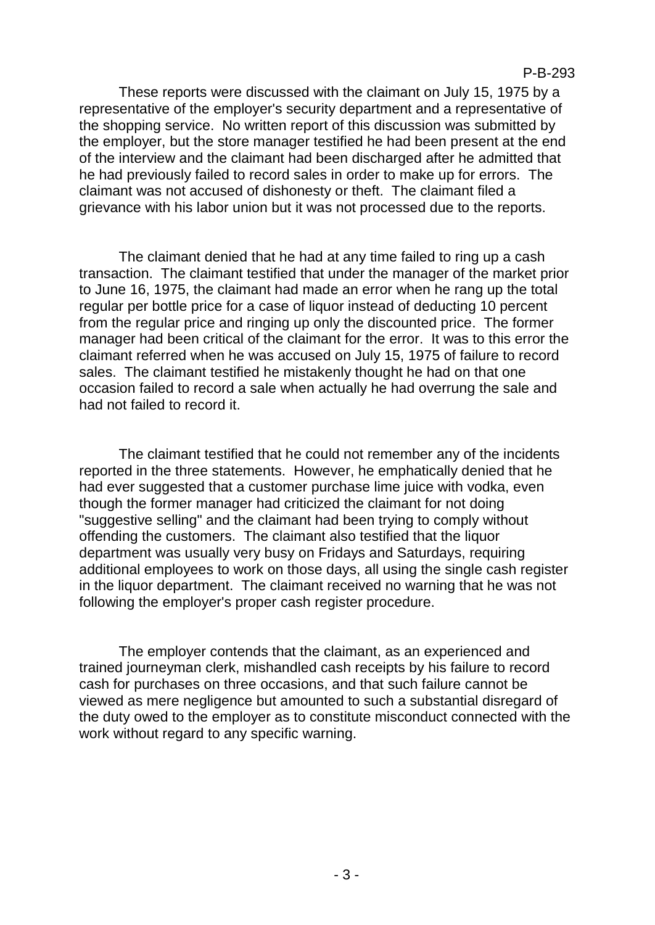These reports were discussed with the claimant on July 15, 1975 by a representative of the employer's security department and a representative of the shopping service. No written report of this discussion was submitted by the employer, but the store manager testified he had been present at the end of the interview and the claimant had been discharged after he admitted that he had previously failed to record sales in order to make up for errors. The claimant was not accused of dishonesty or theft. The claimant filed a grievance with his labor union but it was not processed due to the reports.

The claimant denied that he had at any time failed to ring up a cash transaction. The claimant testified that under the manager of the market prior to June 16, 1975, the claimant had made an error when he rang up the total regular per bottle price for a case of liquor instead of deducting 10 percent from the regular price and ringing up only the discounted price. The former manager had been critical of the claimant for the error. It was to this error the claimant referred when he was accused on July 15, 1975 of failure to record sales. The claimant testified he mistakenly thought he had on that one occasion failed to record a sale when actually he had overrung the sale and had not failed to record it.

The claimant testified that he could not remember any of the incidents reported in the three statements. However, he emphatically denied that he had ever suggested that a customer purchase lime juice with vodka, even though the former manager had criticized the claimant for not doing "suggestive selling" and the claimant had been trying to comply without offending the customers. The claimant also testified that the liquor department was usually very busy on Fridays and Saturdays, requiring additional employees to work on those days, all using the single cash register in the liquor department. The claimant received no warning that he was not following the employer's proper cash register procedure.

The employer contends that the claimant, as an experienced and trained journeyman clerk, mishandled cash receipts by his failure to record cash for purchases on three occasions, and that such failure cannot be viewed as mere negligence but amounted to such a substantial disregard of the duty owed to the employer as to constitute misconduct connected with the work without regard to any specific warning.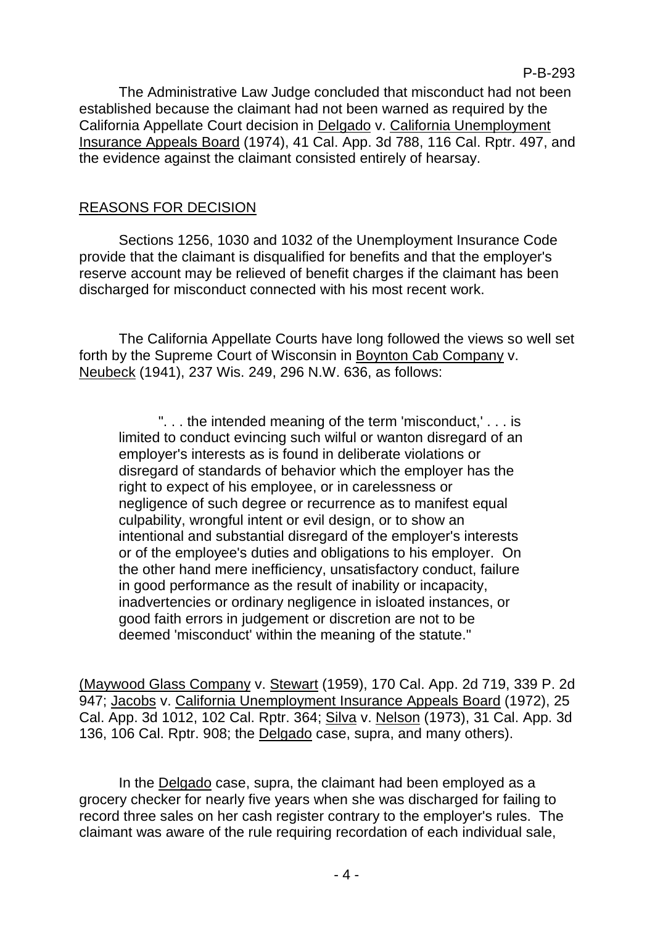The Administrative Law Judge concluded that misconduct had not been established because the claimant had not been warned as required by the California Appellate Court decision in Delgado v. California Unemployment Insurance Appeals Board (1974), 41 Cal. App. 3d 788, 116 Cal. Rptr. 497, and the evidence against the claimant consisted entirely of hearsay.

## REASONS FOR DECISION

Sections 1256, 1030 and 1032 of the Unemployment Insurance Code provide that the claimant is disqualified for benefits and that the employer's reserve account may be relieved of benefit charges if the claimant has been discharged for misconduct connected with his most recent work.

The California Appellate Courts have long followed the views so well set forth by the Supreme Court of Wisconsin in Boynton Cab Company v. Neubeck (1941), 237 Wis. 249, 296 N.W. 636, as follows:

". . . the intended meaning of the term 'misconduct,' . . . is limited to conduct evincing such wilful or wanton disregard of an employer's interests as is found in deliberate violations or disregard of standards of behavior which the employer has the right to expect of his employee, or in carelessness or negligence of such degree or recurrence as to manifest equal culpability, wrongful intent or evil design, or to show an intentional and substantial disregard of the employer's interests or of the employee's duties and obligations to his employer. On the other hand mere inefficiency, unsatisfactory conduct, failure in good performance as the result of inability or incapacity, inadvertencies or ordinary negligence in isloated instances, or good faith errors in judgement or discretion are not to be deemed 'misconduct' within the meaning of the statute."

(Maywood Glass Company v. Stewart (1959), 170 Cal. App. 2d 719, 339 P. 2d 947; Jacobs v. California Unemployment Insurance Appeals Board (1972), 25 Cal. App. 3d 1012, 102 Cal. Rptr. 364; Silva v. Nelson (1973), 31 Cal. App. 3d 136, 106 Cal. Rptr. 908; the Delgado case, supra, and many others).

In the Delgado case, supra, the claimant had been employed as a grocery checker for nearly five years when she was discharged for failing to record three sales on her cash register contrary to the employer's rules. The claimant was aware of the rule requiring recordation of each individual sale,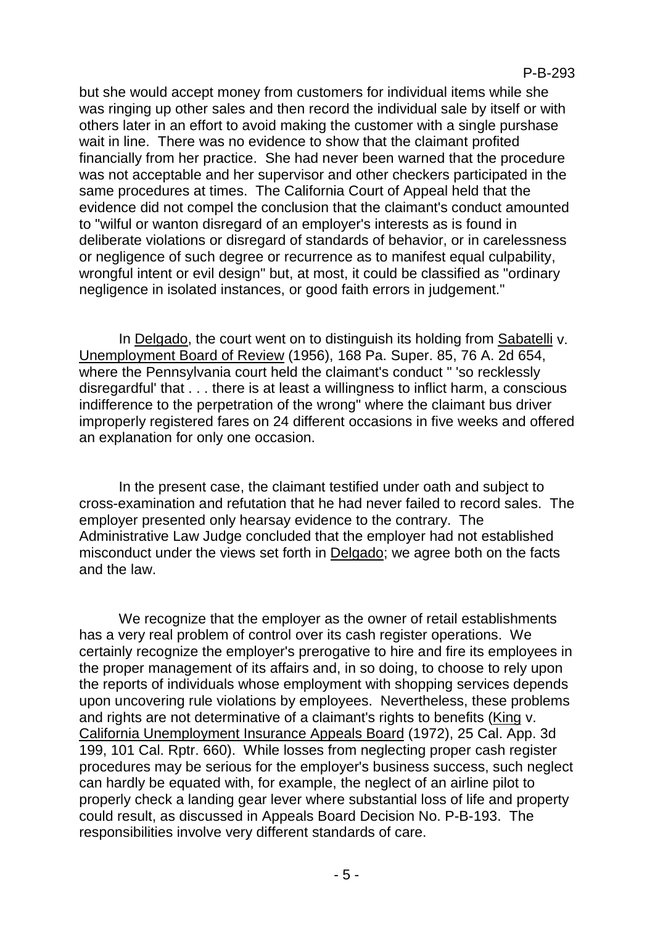but she would accept money from customers for individual items while she was ringing up other sales and then record the individual sale by itself or with others later in an effort to avoid making the customer with a single purshase wait in line. There was no evidence to show that the claimant profited financially from her practice. She had never been warned that the procedure was not acceptable and her supervisor and other checkers participated in the same procedures at times. The California Court of Appeal held that the evidence did not compel the conclusion that the claimant's conduct amounted to "wilful or wanton disregard of an employer's interests as is found in deliberate violations or disregard of standards of behavior, or in carelessness or negligence of such degree or recurrence as to manifest equal culpability, wrongful intent or evil design" but, at most, it could be classified as "ordinary negligence in isolated instances, or good faith errors in judgement."

In Delgado, the court went on to distinguish its holding from Sabatelli v. Unemployment Board of Review (1956), 168 Pa. Super. 85, 76 A. 2d 654, where the Pennsylvania court held the claimant's conduct " 'so recklessly disregardful' that . . . there is at least a willingness to inflict harm, a conscious indifference to the perpetration of the wrong" where the claimant bus driver improperly registered fares on 24 different occasions in five weeks and offered an explanation for only one occasion.

In the present case, the claimant testified under oath and subject to cross-examination and refutation that he had never failed to record sales. The employer presented only hearsay evidence to the contrary. The Administrative Law Judge concluded that the employer had not established misconduct under the views set forth in Delgado; we agree both on the facts and the law.

We recognize that the employer as the owner of retail establishments has a very real problem of control over its cash register operations. We certainly recognize the employer's prerogative to hire and fire its employees in the proper management of its affairs and, in so doing, to choose to rely upon the reports of individuals whose employment with shopping services depends upon uncovering rule violations by employees. Nevertheless, these problems and rights are not determinative of a claimant's rights to benefits (King v. California Unemployment Insurance Appeals Board (1972), 25 Cal. App. 3d 199, 101 Cal. Rptr. 660). While losses from neglecting proper cash register procedures may be serious for the employer's business success, such neglect can hardly be equated with, for example, the neglect of an airline pilot to properly check a landing gear lever where substantial loss of life and property could result, as discussed in Appeals Board Decision No. P-B-193. The responsibilities involve very different standards of care.